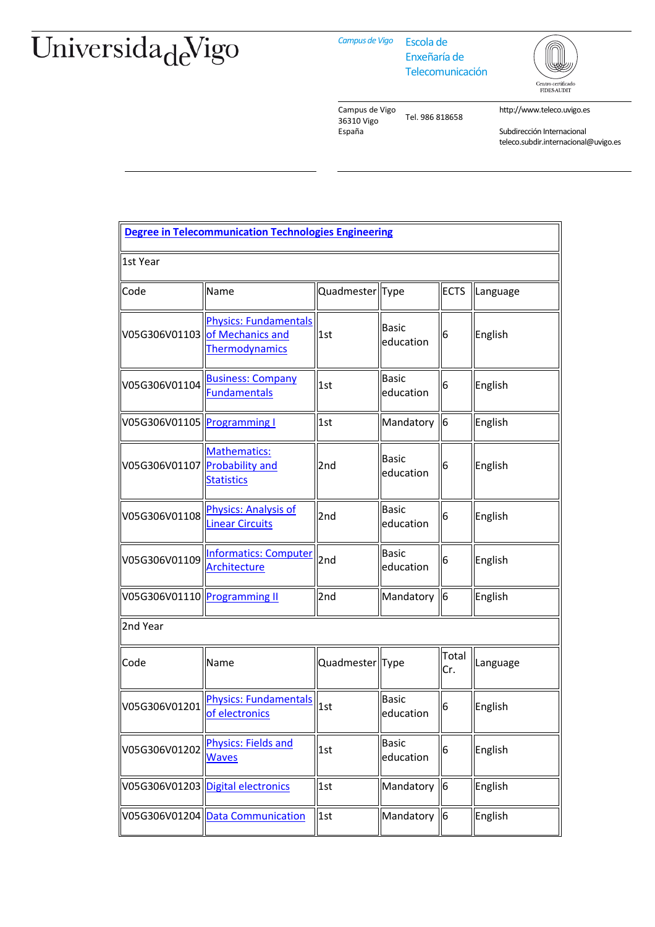*Campus de Vigo* Escola de

Enxeñaría de Telecomunicación



Campus de Vigo 36310 Vigo España Tel. 986 818658 http://www.teleco.uvigo.es

Subdirección Internacional teleco.subdir.internacional@uvigo.es

| <b>Degree in Telecommunication Technologies Engineering</b> |                                                                                         |                 |                           |              |          |  |
|-------------------------------------------------------------|-----------------------------------------------------------------------------------------|-----------------|---------------------------|--------------|----------|--|
| 1st Year                                                    |                                                                                         |                 |                           |              |          |  |
| Code                                                        | Name                                                                                    | Quadmester Type |                           | <b>ECTS</b>  | Language |  |
|                                                             | <b>Physics: Fundamentals</b><br>V05G306V01103 of Mechanics and<br><b>Thermodynamics</b> | 1st             | <b>Basic</b><br>education | 6            | English  |  |
| V05G306V01104                                               | <b>Business: Company</b><br><b>Fundamentals</b>                                         | 1st             | <b>Basic</b><br>education | 6            | English  |  |
| V05G306V01105   Programming I                               |                                                                                         | 1st             | Mandatory                 | 6            | English  |  |
| V05G306V01107 Probability and                               | <b>Mathematics:</b><br><b>Statistics</b>                                                | 2nd             | <b>Basic</b><br>education | 6            | English  |  |
| V05G306V01108                                               | <b>Physics: Analysis of</b><br><b>Linear Circuits</b>                                   | 2nd             | <b>Basic</b><br>education | 6            | English  |  |
| V05G306V01109                                               | <b>Informatics: Computer</b><br>Architecture                                            | 2nd             | <b>Basic</b><br>education | 6            | English  |  |
| V05G306V01110 Programming II                                |                                                                                         | 2nd             | Mandatory                 | 6            | English  |  |
| 2nd Year                                                    |                                                                                         |                 |                           |              |          |  |
| Code                                                        | Name                                                                                    | Quadmester Type |                           | Total<br>Cr. | Language |  |
| V05G306V01201                                               | <b>Physics: Fundamentals</b><br>of electronics                                          | 1st             | <b>Basic</b><br>education | 6            | English  |  |
| V05G306V01202                                               | <b>Physics: Fields and</b><br><b>Waves</b>                                              | 1st             | <b>Basic</b><br>education | 6            | English  |  |
|                                                             | V05G306V01203 Digital electronics                                                       | 1st             | Mandatory                 | 6            | English  |  |
|                                                             | V05G306V01204 Data Communication                                                        | 1st             | Mandatory 6               |              | English  |  |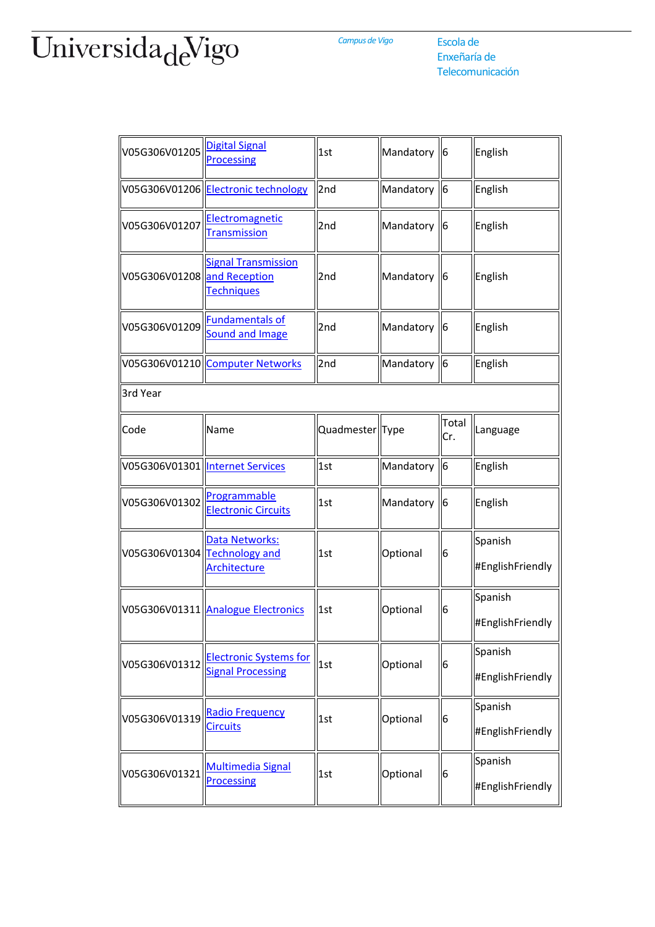*Campus de Vigo* Escola de

Enxeñaría de Telecomunicación

| V05G306V01205                | <b>Digital Signal</b><br><b>Processing</b>                | 1st             | Mandatory | $\sqrt{6}$     | English                     |  |  |
|------------------------------|-----------------------------------------------------------|-----------------|-----------|----------------|-----------------------------|--|--|
|                              | V05G306V01206 Electronic technology                       | 2nd             | Mandatory | 6              | English                     |  |  |
| V05G306V01207                | Electromagnetic<br><b>Transmission</b>                    | 2nd             | Mandatory | $\overline{6}$ | English                     |  |  |
| V05G306V01208 and Reception  | <b>Signal Transmission</b><br>Techniques                  | 2nd             | Mandatory | 6              | English                     |  |  |
| V05G306V01209                | <b>Fundamentals of</b><br><b>Sound and Image</b>          | 2nd             | Mandatory | 6              | English                     |  |  |
|                              | V05G306V01210 Computer Networks                           | 2nd             | Mandatory | 6              | English                     |  |  |
| 3rd Year                     |                                                           |                 |           |                |                             |  |  |
| Code                         | Name                                                      | Quadmester Type |           | Total<br>Cr.   | Language                    |  |  |
|                              | V05G306V01301 Internet Services                           | 1st             | Mandatory | 6              | English                     |  |  |
| V05G306V01302                | <b>Programmable</b><br><b>Electronic Circuits</b>         | 1st             | Mandatory | 6              | English                     |  |  |
| V05G306V01304 Technology and | Data Networks:<br>Architecture                            | 1st             | Optional  | 6              | Spanish<br>#EnglishFriendly |  |  |
|                              | V05G306V01311 Analogue Electronics                        | 1st             | Optional  | 6              | Spanish<br>#EnglishFriendly |  |  |
| V05G306V01312                | <b>Electronic Systems for</b><br><b>Signal Processing</b> | 1st             | Optional  | 6              | Spanish<br>#EnglishFriendly |  |  |
| V05G306V01319                | <b>Radio Frequency</b><br><b>Circuits</b>                 | 1st             | Optional  | 6              | Spanish<br>#EnglishFriendly |  |  |
| V05G306V01321                | <b>Multimedia Signal</b><br><b>Processing</b>             | 1st             | Optional  | 6              | Spanish<br>#EnglishFriendly |  |  |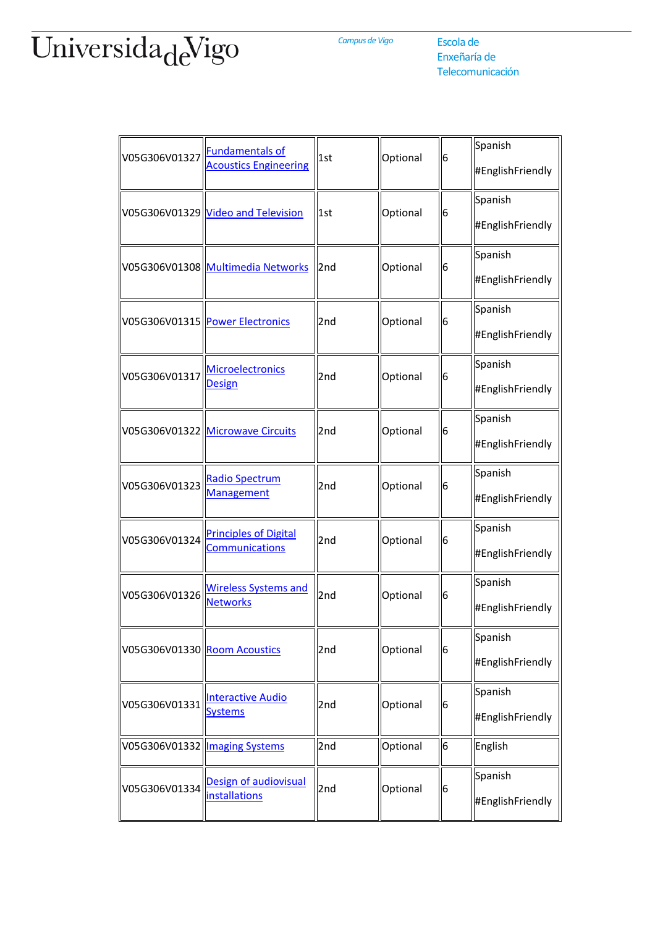*Campus de Vigo* Escola de

Enxeñaría de Telecomunicación

| V05G306V01327                      | <b>Fundamentals of</b>            |                 |          |   | Spanish                     |
|------------------------------------|-----------------------------------|-----------------|----------|---|-----------------------------|
|                                    | <b>Acoustics Engineering</b>      | 1st             | Optional | 6 | #EnglishFriendly            |
| V05G306V01329 Video and Television |                                   | 1st             | Optional | 6 | Spanish                     |
|                                    |                                   |                 |          |   | #EnglishFriendly            |
|                                    | V05G306V01308 Multimedia Networks | 2nd             | Optional | 6 | Spanish                     |
|                                    |                                   |                 |          |   | #EnglishFriendly            |
|                                    | V05G306V01315 Power Electronics   | 2 <sub>nd</sub> | Optional | 6 | Spanish                     |
|                                    |                                   |                 |          |   | #EnglishFriendly            |
| V05G306V01317                      | <b>Microelectronics</b>           | 2nd             | Optional | 6 | Spanish                     |
|                                    | <b>Design</b>                     |                 |          |   | #EnglishFriendly            |
| V05G306V01322 Microwave Circuits   |                                   | 2nd             | Optional | 6 | Spanish                     |
|                                    |                                   |                 |          |   | #EnglishFriendly            |
| V05G306V01323                      | <b>Radio Spectrum</b>             | 2nd             | Optional | 6 | Spanish                     |
|                                    | <b>Management</b>                 |                 |          |   | #EnglishFriendly            |
| V05G306V01324                      | <b>Principles of Digital</b>      | 2nd             | Optional | 6 | Spanish                     |
|                                    | <b>Communications</b>             |                 |          |   | #EnglishFriendly            |
| V05G306V01326                      | <b>Wireless Systems and</b>       | 2nd             | Optional | 6 | Spanish                     |
|                                    | <b>Networks</b>                   |                 |          |   | #EnglishFriendly            |
| V05G306V01330 Room Acoustics       |                                   | 2nd             | Optional | 6 |                             |
|                                    |                                   |                 |          |   | #EnglishFriendly            |
| V05G306V01331                      | <b>Interactive Audio</b>          | 2nd             | Optional | 6 | Spanish                     |
|                                    | <b>Systems</b>                    |                 |          |   | #EnglishFriendly            |
|                                    | V05G306V01332 Imaging Systems     | 2nd             | Optional | 6 | English                     |
| V05G306V01334                      | Design of audiovisual             | 2nd             | Optional | 6 | Spanish                     |
|                                    | <i>installations</i>              |                 |          |   | Spanish<br>#EnglishFriendly |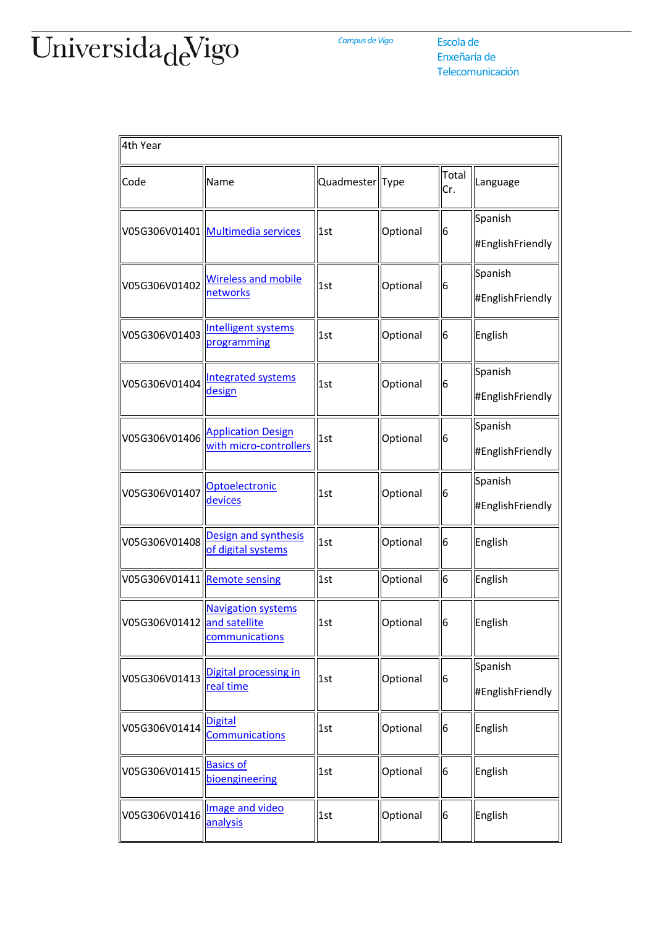*Campus de Vigo* Escola de

Enxeñaría de Telecomunicación

| 4th Year                     |                                                     |                 |          |              |                             |  |
|------------------------------|-----------------------------------------------------|-----------------|----------|--------------|-----------------------------|--|
| Code                         | Name                                                | Quadmester Type |          | Total<br>Cr. | Language                    |  |
|                              | V05G306V01401 Multimedia services                   | 1st             | Optional | 6            | Spanish<br>#EnglishFriendly |  |
| V05G306V01402                | <b>Wireless and mobile</b><br>networks              | 1st             | Optional | 6            | Spanish<br>#EnglishFriendly |  |
| V05G306V01403                | Intelligent systems<br>programming                  | 1st             | Optional | 6            | English                     |  |
| V05G306V01404                | Integrated systems<br>design                        | 1st             | Optional | 6            | Spanish<br>#EnglishFriendly |  |
| V05G306V01406                | <b>Application Design</b><br>with micro-controllers | 1st             | Optional | 6            | Spanish<br>#EnglishFriendly |  |
| V05G306V01407                | <b>Optoelectronic</b><br>devices                    | 1st             | Optional | 6            | Spanish<br>#EnglishFriendly |  |
| V05G306V01408                | Design and synthesis<br>of digital systems          | 1st             | Optional | 6            | English                     |  |
| V05G306V01411 Remote sensing |                                                     | 1st             | Optional | 6            | English                     |  |
| V05G306V01412 and satellite  | <b>Navigation systems</b><br>communications         | 1st             | Optional | 6            | English                     |  |
| V05G306V01413                | Digital processing in<br>real time                  | 1st             | Optional | 6            | Spanish<br>#EnglishFriendly |  |
| V05G306V01414                | <b>Digital</b><br>Communications                    | 1st             | Optional | 6            | English                     |  |
| V05G306V01415                | <b>Basics of</b><br>bioengineering                  | 1st             | Optional | 6            | English                     |  |
| V05G306V01416                | Image and video<br>analysis                         | 1st             | Optional | 6            | English                     |  |